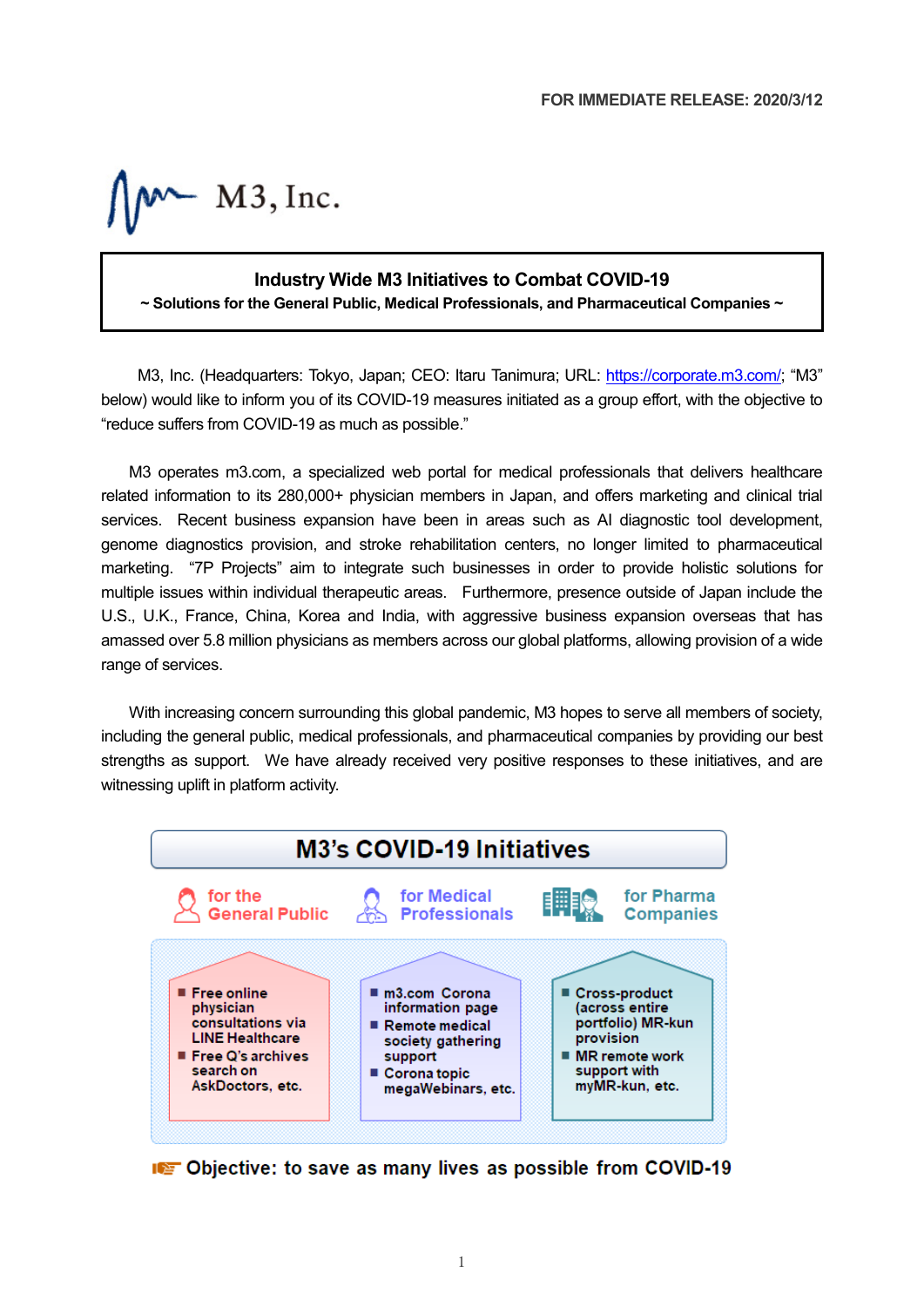$M^{\sim}$  M3, Inc.

# **Industry Wide M3 Initiatives to Combat COVID-19**

**~ Solutions for the General Public, Medical Professionals, and Pharmaceutical Companies ~**

M3, Inc. (Headquarters: Tokyo, Japan; CEO: Itaru Tanimura; URL: [https://corporate.m3.com/;](https://corporate.m3.com/) "M3" below) would like to inform you of its COVID-19 measures initiated as a group effort, with the objective to "reduce suffers from COVID-19 as much as possible."

M3 operates m3.com, a specialized web portal for medical professionals that delivers healthcare related information to its 280,000+ physician members in Japan, and offers marketing and clinical trial services. Recent business expansion have been in areas such as AI diagnostic tool development, genome diagnostics provision, and stroke rehabilitation centers, no longer limited to pharmaceutical marketing. "7P Projects" aim to integrate such businesses in order to provide holistic solutions for multiple issues within individual therapeutic areas. Furthermore, presence outside of Japan include the U.S., U.K., France, China, Korea and India, with aggressive business expansion overseas that has amassed over 5.8 million physicians as members across our global platforms, allowing provision of a wide range of services.

With increasing concern surrounding this global pandemic, M3 hopes to serve all members of society, including the general public, medical professionals, and pharmaceutical companies by providing our best strengths as support. We have already received very positive responses to these initiatives, and are witnessing uplift in platform activity.



**ICE** Objective: to save as many lives as possible from COVID-19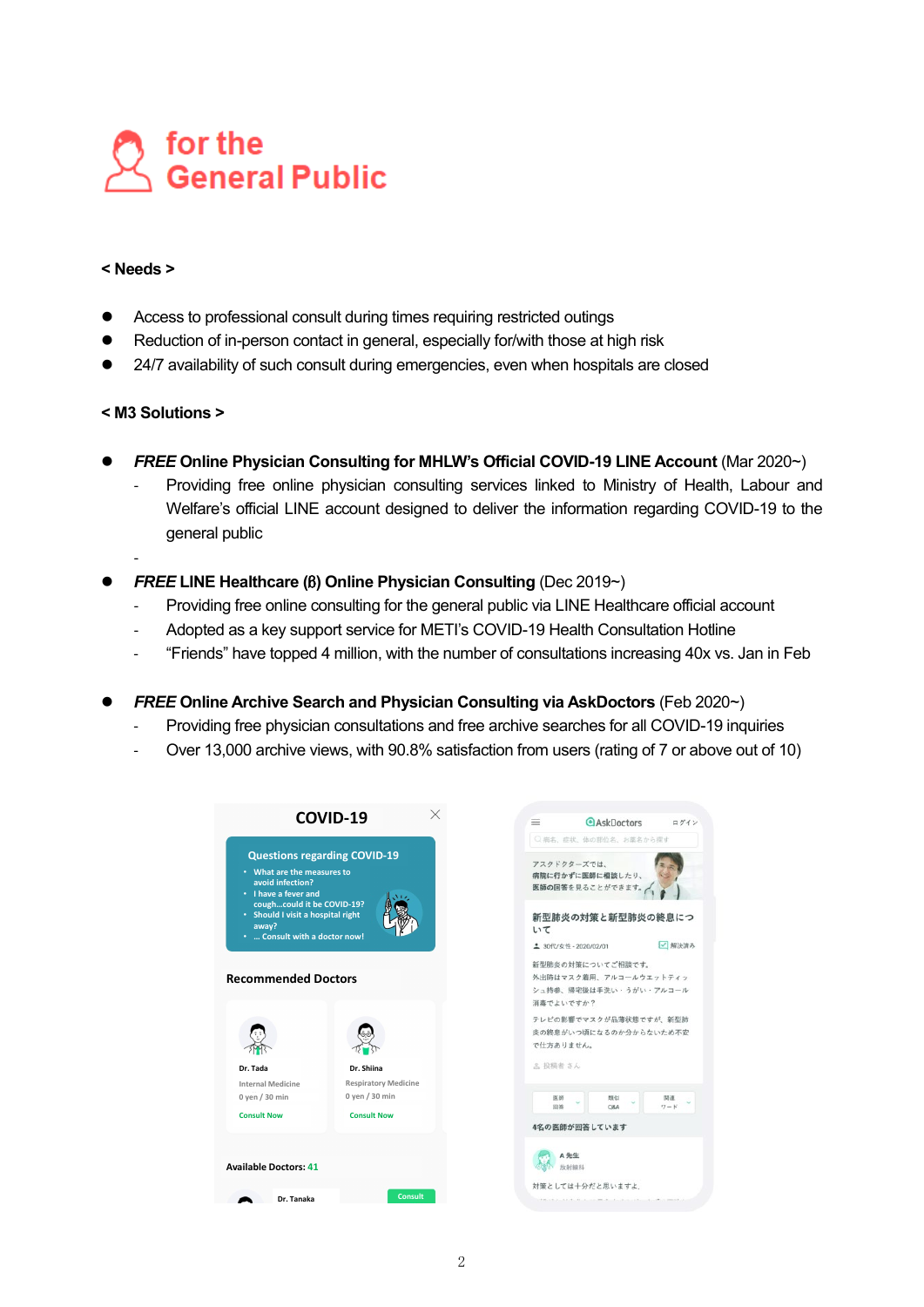

## **< Needs >**

- Access to professional consult during times requiring restricted outings
- Reduction of in-person contact in general, especially for/with those at high risk
- 24/7 availability of such consult during emergencies, even when hospitals are closed

# **< M3 Solutions >**

-

- **FREE Online Physician Consulting for MHLW's Official COVID-19 LINE Account** (Mar 2020~)
	- Providing free online physician consulting services linked to Ministry of Health, Labour and Welfare's official LINE account designed to deliver the information regarding COVID-19 to the general public
- *FREE* **LINE Healthcare (**β**) Online Physician Consulting** (Dec 2019~)
	- Providing free online consulting for the general public via LINE Healthcare official account
	- Adopted as a key support service for METI's COVID-19 Health Consultation Hotline
	- "Friends" have topped 4 million, with the number of consultations increasing 40x vs. Jan in Feb
- *FREE* **Online Archive Search and Physician Consulting via AskDoctors** (Feb 2020~)
	- Providing free physician consultations and free archive searches for all COVID-19 inquiries
	- Over 13,000 archive views, with 90.8% satisfaction from users (rating of 7 or above out of 10)

| $\times$<br>COVID-19                                                                                                                                                                                                       | <b>AskDoctors</b><br>$\equiv$<br>ログイン                                                                                                   |
|----------------------------------------------------------------------------------------------------------------------------------------------------------------------------------------------------------------------------|-----------------------------------------------------------------------------------------------------------------------------------------|
| <b>Questions regarding COVID-19</b><br>• What are the measures to<br>avoid infection?<br>• I have a fever and<br>coughcould it be COVID-19?<br>• Should I visit a hospital right<br>away?<br>•  Consult with a doctor now! | ○病名、症状、体の部位名、お薬名から探す<br>アスクドクターズでは、<br>病院に行かずに医師に相談したり、<br>医師の回答を見ることができます。<br>新型肺炎の対策と新型肺炎の終息につ<br>いて<br>解決済み<br>2 30代/女性 - 2020/02/01 |
| <b>Recommended Doctors</b>                                                                                                                                                                                                 | 新型肺炎の対策についてご相談です。<br>外出時はマスク着用、アルコールウエットティッ<br>シュ持参、帰宅後は手洗い・うがい・アルコール<br>消毒でよいですか?                                                      |
| Dr. Tada<br>Dr. Shiina                                                                                                                                                                                                     | テレビの影響でマスクが品薄状態ですが、新型肺<br>炎の終息がいつ頃になるのか分からないため不安<br>で仕方ありません。<br>2 投稿者 さん                                                               |
| <b>Respiratory Medicine</b><br><b>Internal Medicine</b><br>$0$ yen / 30 min<br>$0$ yen $/30$ min<br><b>Consult Now</b><br><b>Consult Now</b>                                                                               | 医師<br>類似<br>関連<br>ワード<br>回答<br>O&A<br>4名の医師が回答しています                                                                                     |
| <b>Available Doctors: 41</b><br><b>Consult</b><br>Dr. Tanaka                                                                                                                                                               | A先生<br>放射線科<br>対策としては十分だと思いますよ。                                                                                                         |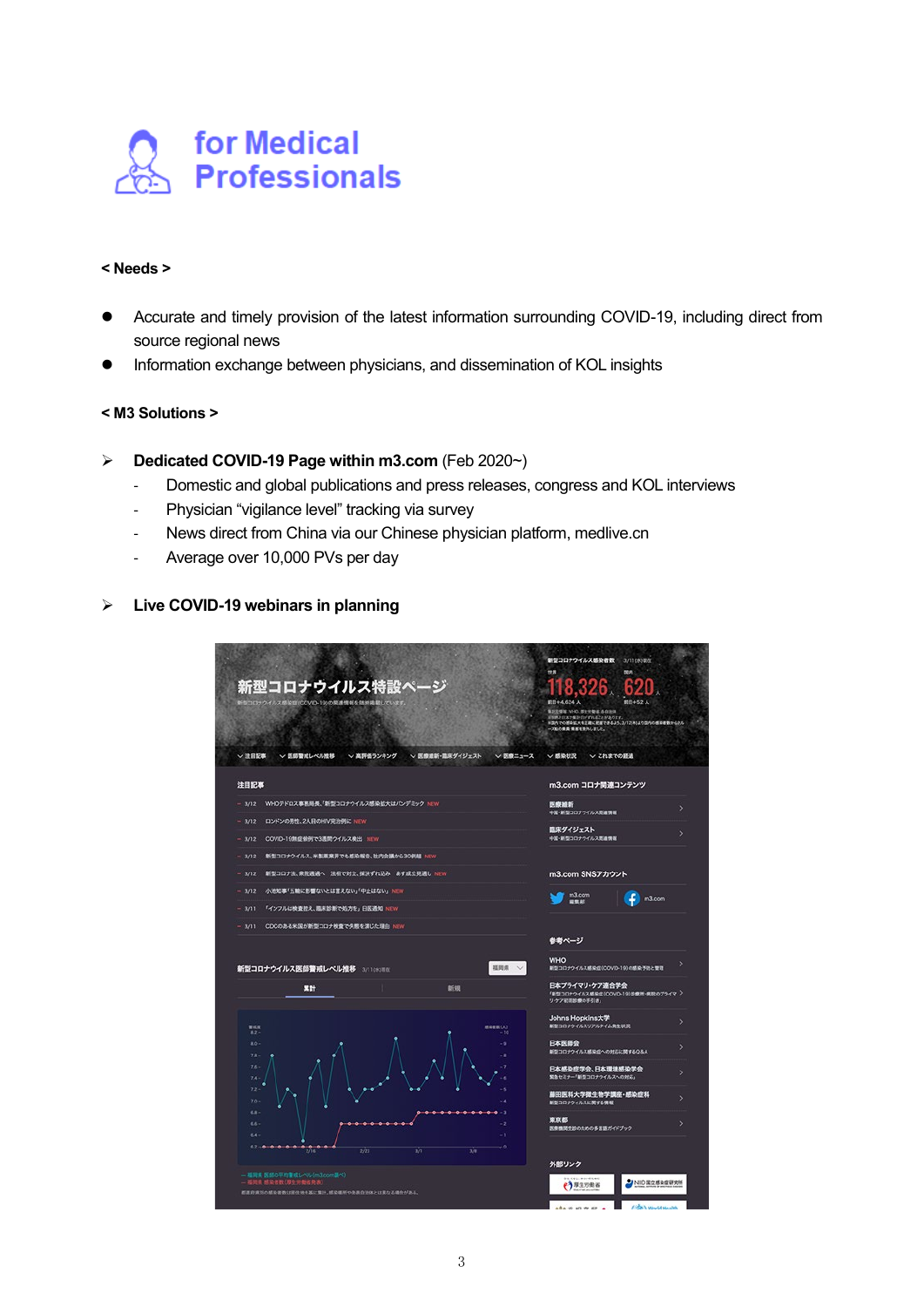

#### **< Needs >**

- Accurate and timely provision of the latest information surrounding COVID-19, including direct from source regional news
- Information exchange between physicians, and dissemination of KOL insights

#### **< M3 Solutions >**

- **Dedicated COVID-19 Page within m3.com** (Feb 2020~)
	- Domestic and global publications and press releases, congress and KOL interviews
	- Physician "vigilance level" tracking via survey
	- News direct from China via our Chinese physician platform, medlive.cn
	- Average over 10,000 PVs per day

# **Live COVID-19 webinars in planning**